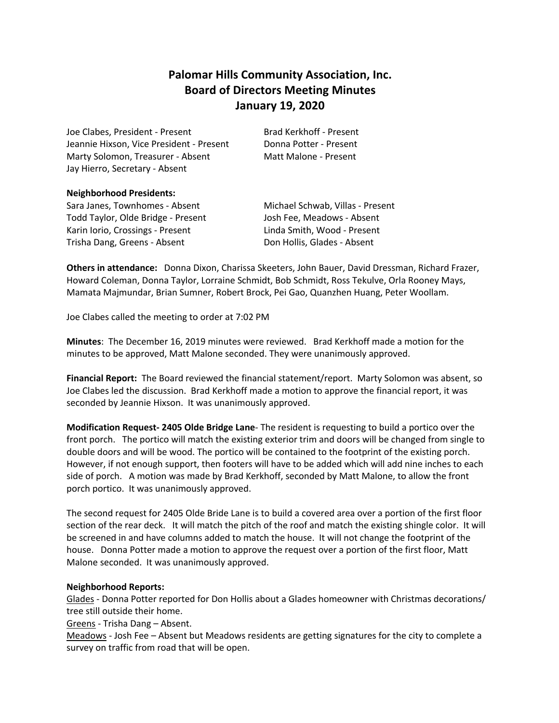# **Palomar Hills Community Association, Inc. Board of Directors Meeting Minutes January 19, 2020**

Joe Clabes, President - Present Brad Kerkhoff - Present Jeannie Hixson, Vice President - Present Donna Potter - Present Marty Solomon, Treasurer - Absent Matt Malone - Present Jay Hierro, Secretary - Absent

## **Neighborhood Presidents:**

Sara Janes, Townhomes - Absent Michael Schwab, Villas - Present Todd Taylor, Olde Bridge - Present Josh Fee, Meadows - Absent Karin Iorio, Crossings - Present Linda Smith, Wood - Present Trisha Dang, Greens - Absent **Don Hollis, Glades - Absent** 

**Others in attendance:** Donna Dixon, Charissa Skeeters, John Bauer, David Dressman, Richard Frazer, Howard Coleman, Donna Taylor, Lorraine Schmidt, Bob Schmidt, Ross Tekulve, Orla Rooney Mays, Mamata Majmundar, Brian Sumner, Robert Brock, Pei Gao, Quanzhen Huang, Peter Woollam.

Joe Clabes called the meeting to order at 7:02 PM

**Minutes**: The December 16, 2019 minutes were reviewed. Brad Kerkhoff made a motion for the minutes to be approved, Matt Malone seconded. They were unanimously approved.

**Financial Report:** The Board reviewed the financial statement/report. Marty Solomon was absent, so Joe Clabes led the discussion. Brad Kerkhoff made a motion to approve the financial report, it was seconded by Jeannie Hixson. It was unanimously approved.

**Modification Request- 2405 Olde Bridge Lane**- The resident is requesting to build a portico over the front porch. The portico will match the existing exterior trim and doors will be changed from single to double doors and will be wood. The portico will be contained to the footprint of the existing porch. However, if not enough support, then footers will have to be added which will add nine inches to each side of porch. A motion was made by Brad Kerkhoff, seconded by Matt Malone, to allow the front porch portico. It was unanimously approved.

The second request for 2405 Olde Bride Lane is to build a covered area over a portion of the first floor section of the rear deck. It will match the pitch of the roof and match the existing shingle color. It will be screened in and have columns added to match the house. It will not change the footprint of the house. Donna Potter made a motion to approve the request over a portion of the first floor, Matt Malone seconded. It was unanimously approved.

# **Neighborhood Reports:**

Glades - Donna Potter reported for Don Hollis about a Glades homeowner with Christmas decorations/ tree still outside their home.

Greens - Trisha Dang – Absent.

Meadows - Josh Fee – Absent but Meadows residents are getting signatures for the city to complete a survey on traffic from road that will be open.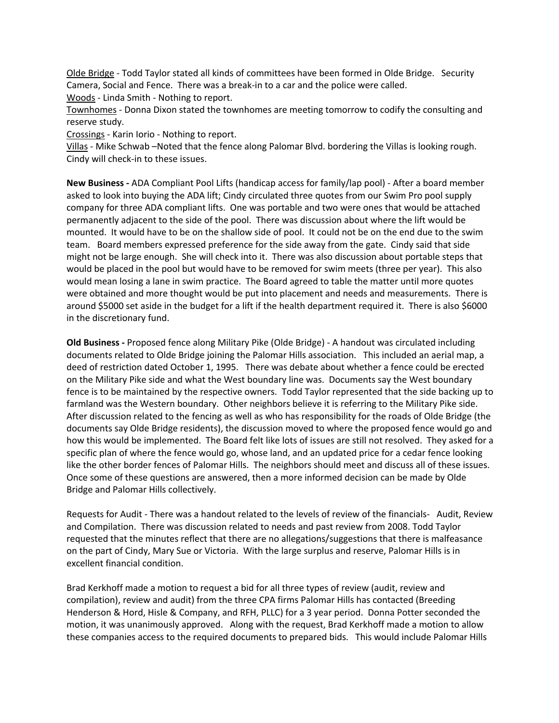Olde Bridge - Todd Taylor stated all kinds of committees have been formed in Olde Bridge. Security Camera, Social and Fence. There was a break-in to a car and the police were called.

Woods - Linda Smith - Nothing to report.

Townhomes - Donna Dixon stated the townhomes are meeting tomorrow to codify the consulting and reserve study.

Crossings - Karin Iorio - Nothing to report.

Villas - Mike Schwab –Noted that the fence along Palomar Blvd. bordering the Villas is looking rough. Cindy will check-in to these issues.

**New Business -** ADA Compliant Pool Lifts (handicap access for family/lap pool) - After a board member asked to look into buying the ADA lift; Cindy circulated three quotes from our Swim Pro pool supply company for three ADA compliant lifts. One was portable and two were ones that would be attached permanently adjacent to the side of the pool. There was discussion about where the lift would be mounted. It would have to be on the shallow side of pool. It could not be on the end due to the swim team. Board members expressed preference for the side away from the gate. Cindy said that side might not be large enough. She will check into it. There was also discussion about portable steps that would be placed in the pool but would have to be removed for swim meets (three per year). This also would mean losing a lane in swim practice. The Board agreed to table the matter until more quotes were obtained and more thought would be put into placement and needs and measurements. There is around \$5000 set aside in the budget for a lift if the health department required it. There is also \$6000 in the discretionary fund.

**Old Business -** Proposed fence along Military Pike (Olde Bridge) - A handout was circulated including documents related to Olde Bridge joining the Palomar Hills association. This included an aerial map, a deed of restriction dated October 1, 1995. There was debate about whether a fence could be erected on the Military Pike side and what the West boundary line was. Documents say the West boundary fence is to be maintained by the respective owners. Todd Taylor represented that the side backing up to farmland was the Western boundary. Other neighbors believe it is referring to the Military Pike side. After discussion related to the fencing as well as who has responsibility for the roads of Olde Bridge (the documents say Olde Bridge residents), the discussion moved to where the proposed fence would go and how this would be implemented. The Board felt like lots of issues are still not resolved. They asked for a specific plan of where the fence would go, whose land, and an updated price for a cedar fence looking like the other border fences of Palomar Hills. The neighbors should meet and discuss all of these issues. Once some of these questions are answered, then a more informed decision can be made by Olde Bridge and Palomar Hills collectively.

Requests for Audit - There was a handout related to the levels of review of the financials- Audit, Review and Compilation. There was discussion related to needs and past review from 2008. Todd Taylor requested that the minutes reflect that there are no allegations/suggestions that there is malfeasance on the part of Cindy, Mary Sue or Victoria. With the large surplus and reserve, Palomar Hills is in excellent financial condition.

Brad Kerkhoff made a motion to request a bid for all three types of review (audit, review and compilation), review and audit) from the three CPA firms Palomar Hills has contacted (Breeding Henderson & Hord, Hisle & Company, and RFH, PLLC) for a 3 year period. Donna Potter seconded the motion, it was unanimously approved. Along with the request, Brad Kerkhoff made a motion to allow these companies access to the required documents to prepared bids. This would include Palomar Hills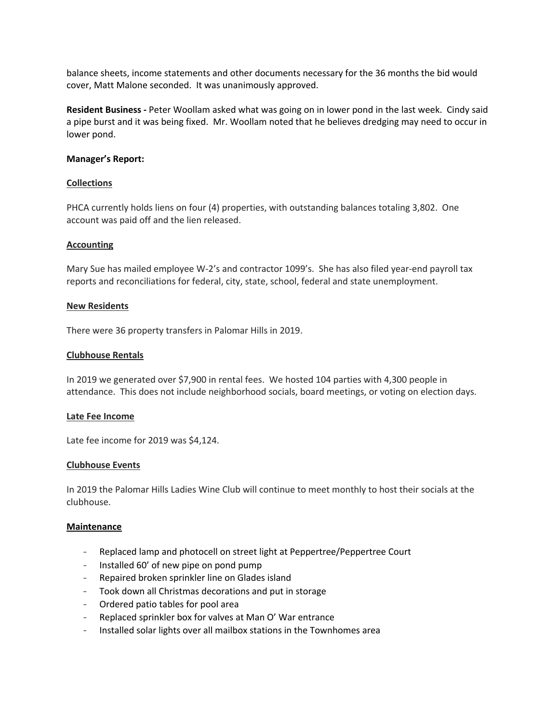balance sheets, income statements and other documents necessary for the 36 months the bid would cover, Matt Malone seconded. It was unanimously approved.

**Resident Business -** Peter Woollam asked what was going on in lower pond in the last week. Cindy said a pipe burst and it was being fixed. Mr. Woollam noted that he believes dredging may need to occur in lower pond.

#### **Manager's Report:**

## **Collections**

PHCA currently holds liens on four (4) properties, with outstanding balances totaling 3,802. One account was paid off and the lien released.

## **Accounting**

Mary Sue has mailed employee W-2's and contractor 1099's. She has also filed year-end payroll tax reports and reconciliations for federal, city, state, school, federal and state unemployment.

## **New Residents**

There were 36 property transfers in Palomar Hills in 2019.

## **Clubhouse Rentals**

In 2019 we generated over \$7,900 in rental fees. We hosted 104 parties with 4,300 people in attendance. This does not include neighborhood socials, board meetings, or voting on election days.

#### **Late Fee Income**

Late fee income for 2019 was \$4,124.

#### **Clubhouse Events**

In 2019 the Palomar Hills Ladies Wine Club will continue to meet monthly to host their socials at the clubhouse.

#### **Maintenance**

- Replaced lamp and photocell on street light at Peppertree/Peppertree Court
- Installed 60' of new pipe on pond pump
- Repaired broken sprinkler line on Glades island
- Took down all Christmas decorations and put in storage
- Ordered patio tables for pool area
- Replaced sprinkler box for valves at Man O' War entrance
- Installed solar lights over all mailbox stations in the Townhomes area